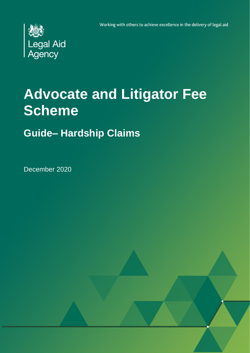Working with others to achieve excellence in the delivery of legal aid



# **Advocate and Litigator Fee Scheme**

## **Guide– Hardship Claims**

December 2020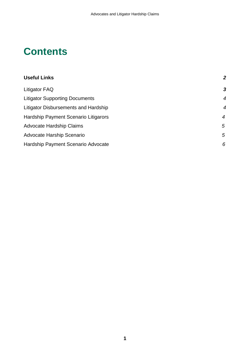## **Contents**

| <b>Useful Links</b>                   | $\overline{2}$ |
|---------------------------------------|----------------|
| Litigator FAQ                         | 3              |
| <b>Litigator Supporting Documents</b> | $\overline{4}$ |
| Litigator Disbursements and Hardship  | $\overline{4}$ |
| Hardship Payment Scenario Litigarors  | $\overline{4}$ |
| <b>Advocate Hardship Claims</b>       | 5              |
| <b>Advocate Harship Scenario</b>      | 5              |
| Hardship Payment Scenario Advocate    | 6              |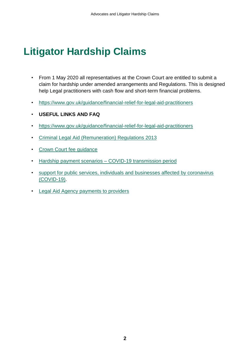## **Litigator Hardship Claims**

- From 1 May 2020 all representatives at the Crown Court are entitled to submit a claim for hardship under amended arrangements and Regulations. This is designed help Legal practitioners with cash flow and short-term financial problems.
- <https://www.gov.uk/guidance/financial-relief-for-legal-aid-practitioners>
- **USEFUL LINKS AND FAQ**
- <https://www.gov.uk/guidance/financial-relief-for-legal-aid-practitioners>
- [Criminal Legal Aid \(Remuneration\) Regulations 2013](http://www.legislation.gov.uk/uksi/2013/435/contents)
- [Crown Court fee guidance](https://www.gov.uk/government/publications/crown-court-fee-guidance)
- Hardship payment scenarios [COVID-19 transmission period](https://assets.publishing.service.gov.uk/government/uploads/system/uploads/attachment_data/file/881744/Hardship_payment_scenarios___COVID-19_transmission_period.pdf)
- [support for public services, individuals and businesses affected by coronavirus](https://www.gov.uk/government/publications/support-for-those-affected-by-covid-19)  [\(COVID-19\).](https://www.gov.uk/government/publications/support-for-those-affected-by-covid-19)
- [Legal Aid Agency payments to providers](https://www.gov.uk/guidance/legal-aid-agency-payments-to-providers)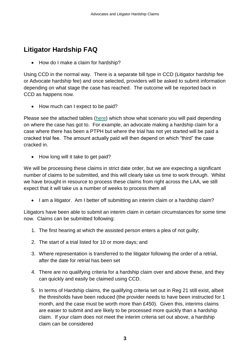## **Litigator Hardship FAQ**

• How do I make a claim for hardship?

Using CCD in the normal way. There is a separate bill type in CCD (Litigator hardship fee or Advocate hardship fee) and once selected, providers will be asked to submit information depending on what stage the case has reached. The outcome will be reported back in CCD as happens now.

• How much can I expect to be paid?

Please see the attached tables [\(here\)](https://assets.publishing.service.gov.uk/government/uploads/system/uploads/attachment_data/file/881744/Hardship_payment_scenarios___COVID-19_transmission_period.pdf) which show what scenario you will paid depending on where the case has got to. For example, an advocate making a hardship claim for a case where there has been a PTPH but where the trial has not yet started will be paid a cracked trial fee. The amount actually paid will then depend on which "third" the case cracked in.

• How long will it take to get paid?

We will be processing these claims in strict date order, but we are expecting a significant number of claims to be submitted, and this will clearly take us time to work through. Whilst we have brought in resource to process these claims from right across the LAA, we still expect that it will take us a number of weeks to process them all

• I am a litigator. Am I better off submitting an interim claim or a hardship claim?

Litigators have been able to submit an interim claim in certain circumstances for some time now. Claims can be submitted following:

- 1. The first hearing at which the assisted person enters a plea of not guilty;
- 2. The start of a trial listed for 10 or more days; and
- 3. Where representation is transferred to the litigator following the order of a retrial, after the date for retrial has been set
- 4. There are no qualifying criteria for a hardship claim over and above these, and they can quickly and easily be claimed using CCD.
- 5. In terms of Hardship claims, the qualifying criteria set out in Reg 21 still exist, albeit the thresholds have been reduced (the provider needs to have been instructed for 1 month, and the case must be worth more than £450). Given this, interims claims are easier to submit and are likely to be processed more quickly than a hardship claim. If your claim does not meet the interim criteria set out above, a hardship claim can be considered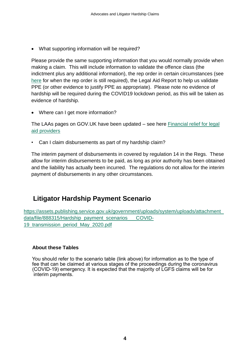• What supporting information will be required?

Please provide the same supporting information that you would normally provide when making a claim. This will include information to validate the offence class (the indictment plus any additional information), the rep order in certain circumstances (see [here](https://www.gov.uk/government/news/crime-news-providers-no-longer-need-to-keep-copies-of-rep-orders) for when the rep order is still required), the Legal Aid Report to help us validate PPE (or other evidence to justify PPE as appropriate). Please note no evidence of hardship will be required during the COVID19 lockdown period, as this will be taken as evidence of hardship.

• Where can I get more information?

The LAAs pages on GOV.UK have been updated – see here [Financial relief for legal](https://www.gov.uk/guidance/financial-relief-for-legal-aid-practitioners)  [aid providers](https://www.gov.uk/guidance/financial-relief-for-legal-aid-practitioners)

Can I claim disbursements as part of my hardship claim?

The interim payment of disbursements in covered by regulation 14 in the Regs. These allow for interim disbursements to be paid, as long as prior authority has been obtained and the liability has actually been incurred. The regulations do not allow for the interim payment of disbursements in any other circumstances.

### **Litigator Hardship Payment Scenario**

[https://assets.publishing.service.gov.uk/government/uploads/system/uploads/attachment\\_](https://assets.publishing.service.gov.uk/government/uploads/system/uploads/attachment_data/file/888315/Hardship_payment_scenarios___COVID-19_transmission_period_May_2020.pdf) data/file/888315/Hardship\_payment\_scenarios COVID-[19\\_transmission\\_period\\_May\\_2020.pdf](https://assets.publishing.service.gov.uk/government/uploads/system/uploads/attachment_data/file/888315/Hardship_payment_scenarios___COVID-19_transmission_period_May_2020.pdf)

#### **About these Tables**

 You should refer to the scenario table (link above) for information as to the type of fee that can be claimed at various stages of the proceedings during the coronavirus (COVID-19) emergency. It is expected that the majority of LGFS claims will be for interim payments.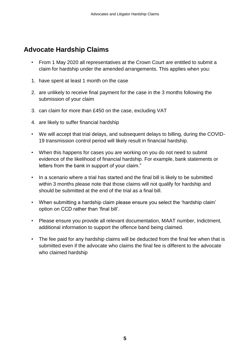### **Advocate Hardship Claims**

- From 1 May 2020 all representatives at the Crown Court are entitled to submit a claim for hardship under the amended arrangements. This applies when you:
- 1. have spent at least 1 month on the case
- 2. are unlikely to receive final payment for the case in the 3 months following the submission of your claim
- 3. can claim for more than £450 on the case, excluding VAT
- 4. are likely to suffer financial hardship
- We will accept that trial delays, and subsequent delays to billing, during the COVID-19 transmission control period will likely result in financial hardship.
- When this happens for cases you are working on you do not need to submit evidence of the likelihood of financial hardship. For example, bank statements or letters from the bank in support of your claim."
- In a scenario where a trial has started and the final bill is likely to be submitted within 3 months please note that those claims will not qualify for hardship and should be submitted at the end of the trial as a final bill.
- When submitting a hardship claim please ensure you select the 'hardship claim' option on CCD rather than 'final bill'.
- Please ensure you provide all relevant documentation, MAAT number, Indictment, additional information to support the offence band being claimed.
- The fee paid for any hardship claims will be deducted from the final fee when that is submitted even if the advocate who claims the final fee is different to the advocate who claimed hardship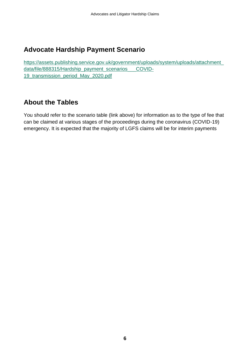## **Advocate Hardship Payment Scenario**

[https://assets.publishing.service.gov.uk/government/uploads/system/uploads/attachment\\_](https://assets.publishing.service.gov.uk/government/uploads/system/uploads/attachment_data/file/888315/Hardship_payment_scenarios___COVID-19_transmission_period_May_2020.pdf) [data/file/888315/Hardship\\_payment\\_scenarios\\_\\_\\_COVID-](https://assets.publishing.service.gov.uk/government/uploads/system/uploads/attachment_data/file/888315/Hardship_payment_scenarios___COVID-19_transmission_period_May_2020.pdf)19 transmission period May 2020.pdf

## **About the Tables**

You should refer to the scenario table (link above) for information as to the type of fee that can be claimed at various stages of the proceedings during the coronavirus (COVID-19) emergency. It is expected that the majority of LGFS claims will be for interim payments